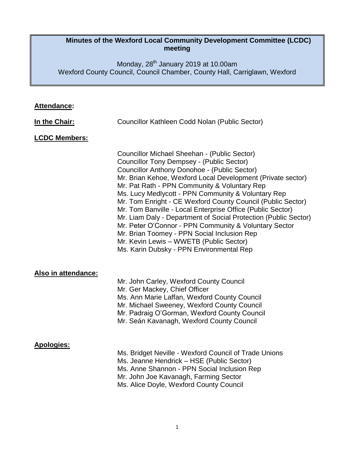### **Minutes of the Wexford Local Community Development Committee (LCDC) meeting**

Monday, 28<sup>th</sup> January 2019 at 10.00am Wexford County Council, Council Chamber, County Hall, Carriglawn, Wexford

| <b>Attendance:</b> |  |
|--------------------|--|
|                    |  |

| In the Chair:        | Councillor Kathleen Codd Nolan (Public Sector)                                                                                                                                                                                                                                                                                                                                                                                                                                                                                                                                                                                                                                                                              |
|----------------------|-----------------------------------------------------------------------------------------------------------------------------------------------------------------------------------------------------------------------------------------------------------------------------------------------------------------------------------------------------------------------------------------------------------------------------------------------------------------------------------------------------------------------------------------------------------------------------------------------------------------------------------------------------------------------------------------------------------------------------|
| <b>LCDC Members:</b> |                                                                                                                                                                                                                                                                                                                                                                                                                                                                                                                                                                                                                                                                                                                             |
|                      | Councillor Michael Sheehan - (Public Sector)<br><b>Councillor Tony Dempsey - (Public Sector)</b><br><b>Councillor Anthony Donohoe - (Public Sector)</b><br>Mr. Brian Kehoe, Wexford Local Development (Private sector)<br>Mr. Pat Rath - PPN Community & Voluntary Rep<br>Ms. Lucy Medlycott - PPN Community & Voluntary Rep<br>Mr. Tom Enright - CE Wexford County Council (Public Sector)<br>Mr. Tom Banville - Local Enterprise Office (Public Sector)<br>Mr. Liam Daly - Department of Social Protection (Public Sector)<br>Mr. Peter O'Connor - PPN Community & Voluntary Sector<br>Mr. Brian Toomey - PPN Social Inclusion Rep<br>Mr. Kevin Lewis - WWETB (Public Sector)<br>Ms. Karin Dubsky - PPN Environmental Rep |
| Also in attendance:  | Mr. John Carley, Wexford County Council<br>Mr. Ger Mackey, Chief Officer<br>Ms. Ann Marie Laffan, Wexford County Council<br>Mr. Michael Sweeney, Wexford County Council<br>Mr. Padraig O'Gorman, Wexford County Council<br>Mr. Seán Kavanagh, Wexford County Council                                                                                                                                                                                                                                                                                                                                                                                                                                                        |
| <b>Apologies:</b>    | Ms. Bridget Neville - Wexford Council of Trade Unions<br>Ms. Jeanne Hendrick - HSE (Public Sector)<br>Ms. Anne Shannon - PPN Social Inclusion Rep<br>Mr. John Joe Kavanagh, Farming Sector<br>Ms. Alice Doyle, Wexford County Council                                                                                                                                                                                                                                                                                                                                                                                                                                                                                       |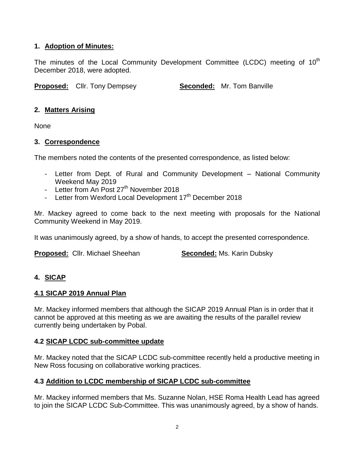## **1. Adoption of Minutes:**

The minutes of the Local Community Development Committee (LCDC) meeting of  $10<sup>th</sup>$ December 2018, were adopted.

**Proposed:** Cllr. Tony Dempsey **Seconded:** Mr. Tom Banville

## **2. Matters Arising**

None

### **3. Correspondence**

The members noted the contents of the presented correspondence, as listed below:

- Letter from Dept. of Rural and Community Development National Community Weekend May 2019
- Letter from  $\overrightarrow{An}$  Post 27<sup>th</sup> November 2018
- Letter from Wexford Local Development  $17<sup>th</sup>$  December 2018

Mr. Mackey agreed to come back to the next meeting with proposals for the National Community Weekend in May 2019.

It was unanimously agreed, by a show of hands, to accept the presented correspondence.

**Proposed:** Cllr. Michael Sheehan **Seconded:** Ms. Karin Dubsky

# **4. SICAP**

### **4.1 SICAP 2019 Annual Plan**

Mr. Mackey informed members that although the SICAP 2019 Annual Plan is in order that it cannot be approved at this meeting as we are awaiting the results of the parallel review currently being undertaken by Pobal.

### **4.2 SICAP LCDC sub-committee update**

Mr. Mackey noted that the SICAP LCDC sub-committee recently held a productive meeting in New Ross focusing on collaborative working practices.

### **4.3 Addition to LCDC membership of SICAP LCDC sub-committee**

Mr. Mackey informed members that Ms. Suzanne Nolan, HSE Roma Health Lead has agreed to join the SICAP LCDC Sub-Committee. This was unanimously agreed, by a show of hands.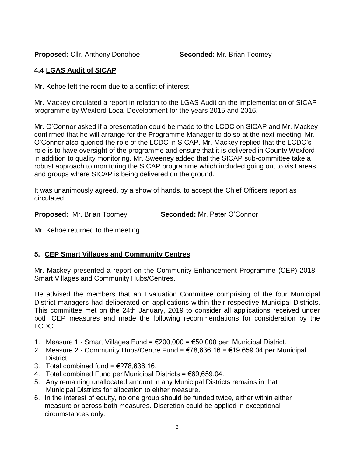**Proposed:** Cllr. Anthony Donohoe **Seconded:** Mr. Brian Toomey

## **4.4 LGAS Audit of SICAP**

Mr. Kehoe left the room due to a conflict of interest.

Mr. Mackey circulated a report in relation to the LGAS Audit on the implementation of SICAP programme by Wexford Local Development for the years 2015 and 2016.

Mr. O'Connor asked if a presentation could be made to the LCDC on SICAP and Mr. Mackey confirmed that he will arrange for the Programme Manager to do so at the next meeting. Mr. O'Connor also queried the role of the LCDC in SICAP. Mr. Mackey replied that the LCDC's role is to have oversight of the programme and ensure that it is delivered in County Wexford in addition to quality monitoring. Mr. Sweeney added that the SICAP sub-committee take a robust approach to monitoring the SICAP programme which included going out to visit areas and groups where SICAP is being delivered on the ground.

It was unanimously agreed, by a show of hands, to accept the Chief Officers report as circulated.

**Proposed:** Mr. Brian Toomey **Seconded:** Mr. Peter O'Connor

Mr. Kehoe returned to the meeting.

# **5. CEP Smart Villages and Community Centres**

Mr. Mackey presented a report on the Community Enhancement Programme (CEP) 2018 - Smart Villages and Community Hubs/Centres.

He advised the members that an Evaluation Committee comprising of the four Municipal District managers had deliberated on applications within their respective Municipal Districts. This committee met on the 24th January, 2019 to consider all applications received under both CEP measures and made the following recommendations for consideration by the LCDC:

- 1. Measure 1 Smart Villages Fund = €200,000 = €50,000 per Municipal District.
- 2. Measure 2 Community Hubs/Centre Fund = €78,636.16 = €19,659.04 per Municipal District.
- 3. Total combined fund =  $\epsilon$ 278.636.16.
- 4. Total combined Fund per Municipal Districts =  $\epsilon$ 69,659.04.
- 5. Any remaining unallocated amount in any Municipal Districts remains in that Municipal Districts for allocation to either measure.
- 6. In the interest of equity, no one group should be funded twice, either within either measure or across both measures. Discretion could be applied in exceptional circumstances only.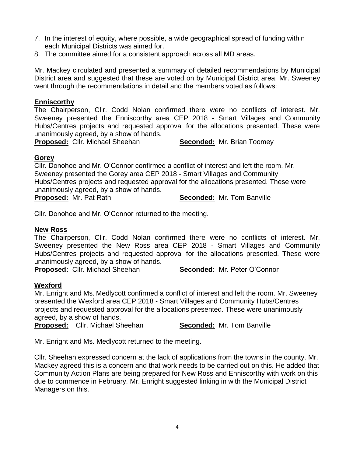- 7. In the interest of equity, where possible, a wide geographical spread of funding within each Municipal Districts was aimed for.
- 8. The committee aimed for a consistent approach across all MD areas.

Mr. Mackey circulated and presented a summary of detailed recommendations by Municipal District area and suggested that these are voted on by Municipal District area. Mr. Sweeney went through the recommendations in detail and the members voted as follows:

#### **Enniscorthy**

The Chairperson, Cllr. Codd Nolan confirmed there were no conflicts of interest. Mr. Sweeney presented the Enniscorthy area CEP 2018 - Smart Villages and Community Hubs/Centres projects and requested approval for the allocations presented. These were unanimously agreed, by a show of hands.

**Proposed:** Cllr. Michael Sheehan **Seconded:** Mr. Brian Toomey

#### **Gorey**

Cllr. Donohoe and Mr. O'Connor confirmed a conflict of interest and left the room. Mr. Sweeney presented the Gorey area CEP 2018 - Smart Villages and Community Hubs/Centres projects and requested approval for the allocations presented. These were unanimously agreed, by a show of hands. **Proposed:** Mr. Pat Rath **Seconded:** Mr. Tom Banville

Cllr. Donohoe and Mr. O'Connor returned to the meeting.

#### **New Ross**

The Chairperson, Cllr. Codd Nolan confirmed there were no conflicts of interest. Mr. Sweeney presented the New Ross area CEP 2018 - Smart Villages and Community Hubs/Centres projects and requested approval for the allocations presented. These were unanimously agreed, by a show of hands.

**Proposed:** Cllr. Michael Sheehan **Seconded:** Mr. Peter O'Connor

#### **Wexford**

Mr. Enright and Ms. Medlycott confirmed a conflict of interest and left the room. Mr. Sweeney presented the Wexford area CEP 2018 - Smart Villages and Community Hubs/Centres projects and requested approval for the allocations presented. These were unanimously agreed, by a show of hands.

**Proposed:** Cllr. Michael Sheehan **Seconded:** Mr. Tom Banville

Mr. Enright and Ms. Medlycott returned to the meeting.

Cllr. Sheehan expressed concern at the lack of applications from the towns in the county. Mr. Mackey agreed this is a concern and that work needs to be carried out on this. He added that Community Action Plans are being prepared for New Ross and Enniscorthy with work on this due to commence in February. Mr. Enright suggested linking in with the Municipal District Managers on this.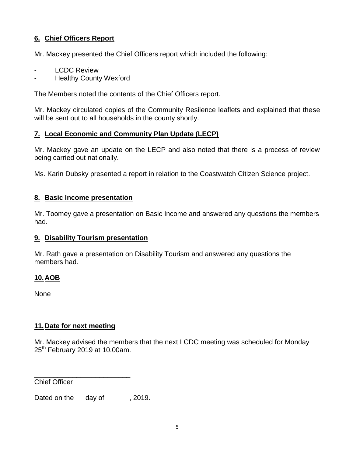## **6. Chief Officers Report**

Mr. Mackey presented the Chief Officers report which included the following:

- **LCDC Review**
- **Healthy County Wexford**

The Members noted the contents of the Chief Officers report.

Mr. Mackey circulated copies of the Community Resilence leaflets and explained that these will be sent out to all households in the county shortly.

### **7. Local Economic and Community Plan Update (LECP)**

Mr. Mackey gave an update on the LECP and also noted that there is a process of review being carried out nationally.

Ms. Karin Dubsky presented a report in relation to the Coastwatch Citizen Science project.

## **8. Basic Income presentation**

Mr. Toomey gave a presentation on Basic Income and answered any questions the members had.

### **9. Disability Tourism presentation**

Mr. Rath gave a presentation on Disability Tourism and answered any questions the members had.

## **10.AOB**

None

## **11.Date for next meeting**

Mr. Mackey advised the members that the next LCDC meeting was scheduled for Monday  $25<sup>th</sup>$  February 2019 at 10.00am.

Chief Officer

Dated on the day of , 2019.

\_\_\_\_\_\_\_\_\_\_\_\_\_\_\_\_\_\_\_\_\_\_\_\_\_